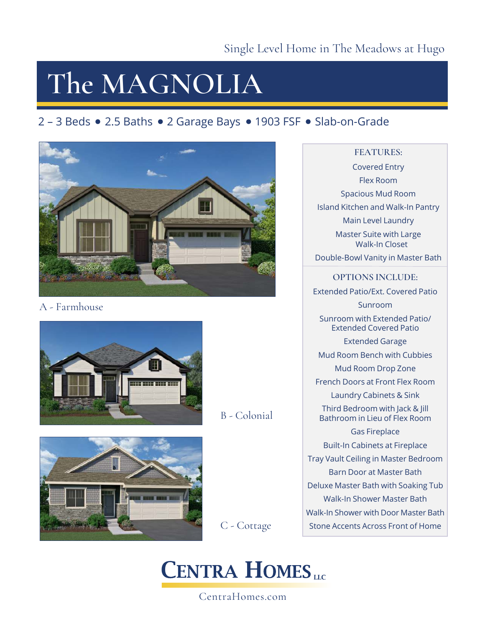# **The MAGNOLIA**

# 2 – 3 Beds • 2.5 Baths • 2 Garage Bays • 1903 FSF • Slab-on-Grade



# A - Farmhouse





# B - Colonial

C - Cottage

# **CENTRA HOMES**

## CentraHomes.com

### **FEATURES:**

Covered Entry Flex Room Spacious Mud Room Island Kitchen and Walk-In Pantry Main Level Laundry Master Suite with Large Walk-In Closet Double-Bowl Vanity in Master Bath

**OPTIONS INCLUDE:** Extended Patio/Ext. Covered Patio Sunroom Sunroom with Extended Patio/ Extended Covered Patio Extended Garage Mud Room Bench with Cubbies Mud Room Drop Zone French Doors at Front Flex Room Laundry Cabinets & Sink Third Bedroom with Jack & Jill Bathroom in Lieu of Flex Room Gas Fireplace Built-In Cabinets at Fireplace Tray Vault Ceiling in Master Bedroom Barn Door at Master Bath Deluxe Master Bath with Soaking Tub Walk-In Shower Master Bath Walk-In Shower with Door Master Bath Stone Accents Across Front of Home